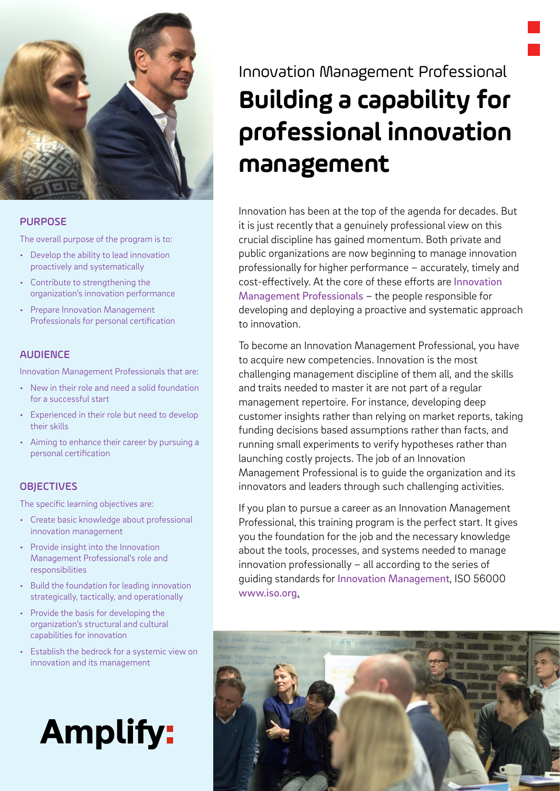

#### PURPOSE

The overall purpose of the program is to:

- Develop the ability to lead innovation proactively and systematically
- Contribute to strengthening the organization's innovation performance
- Prepare Innovation Management Professionals for personal certification

### AUDIENCE

Innovation Management Professionals that are:

- New in their role and need a solid foundation for a successful start
- Experienced in their role but need to develop their skills
- Aiming to enhance their career by pursuing a personal certification

### **OBJECTIVES**

The specific learning objectives are:

- Create basic knowledge about professional innovation management
- Provide insight into the Innovation Management Professional's role and responsibilities
- Build the foundation for leading innovation strategically, tactically, and operationally
- Provide the basis for developing the organization's structural and cultural capabilities for innovation
- Establish the bedrock for a systemic view on innovation and its management

# **Amplify:**

# Innovation Management Professional **Building a capability for professional innovation management**

Innovation has been at the top of the agenda for decades. But it is just recently that a genuinely professional view on this crucial discipline has gained momentum. Both private and public organizations are now beginning to manage innovation professionally for higher performance – accurately, timely and cost-effectively. At the core of these efforts are [Innovation](https://innovationmanagementsystem.com/professionalizing-innovation-management/)  [Management Professionals](https://innovationmanagementsystem.com/professionalizing-innovation-management/) – the people responsible for developing and deploying a proactive and systematic approach to innovation.

To become an Innovation Management Professional, you have to acquire new competencies. Innovation is the most challenging management discipline of them all, and the skills and traits needed to master it are not part of a regular management repertoire. For instance, developing deep customer insights rather than relying on market reports, taking funding decisions based assumptions rather than facts, and running small experiments to verify hypotheses rather than launching costly projects. The job of an Innovation Management Professional is to guide the organization and its innovators and leaders through such challenging activities.

If you plan to pursue a career as an Innovation Management Professional, this training program is the perfect start. It gives you the foundation for the job and the necessary knowledge about the tools, processes, and systems needed to manage innovation professionally – all according to the series of guiding standards for [Innovation Management](https://innovationmanagementsystem.com/portfolio-items/iso-56002-innovation-management-system-guidance/), ISO 56000 [www.iso.org](https://www.iso.org/standard/69315.html).